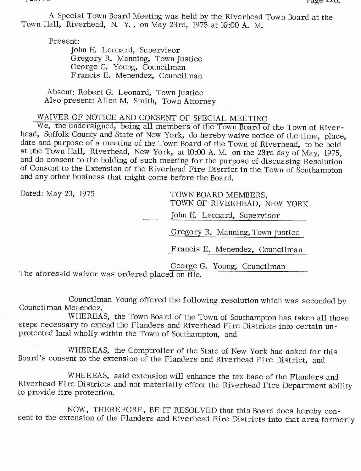A Special Town Board Meeting was held by the Riverhead Town Board at the Town Hall, Riverhead, N. Y. , on May 23rd, <sup>1975</sup> at 10:00 A. M.

Present:

John H. Leonard, Supervisor Gregory R. Manning, Town Justice George G. Young, Councilman <sup>F</sup> rancis E. Menendez, Councilman

Absent: Robert G. Leonard, Town Justice Also present: Allen M. Smith, Town Attorney

## WAIVER OF NOTICE AND CONSENT OF SPECIAL MEETING

We, the undersigned, being all members of the Town Board of the Town of Riverhead, Suffolk County and State of New York, do hereby waive notice of the time, place, date and purpose of a meeting of the Town Board of the Town of Riverhead, to be held at the Town Hall, Riverhead, New York, at 10:00 A.M. on the 23rd day of May, 1975, and do consent to the holding of such meeting for the purpose of discussing Resolution of Consent to the Extension of the Riverhead Fire District in the Town of Southampton and any other business that might come before the Board.

Dated: May 23, 1975 TOWN BOARD MEMBERS, TOWN OF RIVERHEAD, NEW YORK

John H. Leonard, Supervisor

Gregory R. Manning, Town Justice

Francis E. Menendez, Councilman

George G. Young, Councilman

The aforesaid waiver was ordered placed on file.

Councilman Young offered the f ollowing resolution which was seconded by Councilman Menendez.

WHEREAS, the Town Board of the Town of Southampton has taken all those steps necessary to extend the Flanders and Riverhead Fire Districts into certain unprotected land wholly within the Town of Southampton, and

WHEREAS, the Comptroller of the State of New York has asked for this Board's consent to the extension of the Flanders and Riverhead Fire District, and

WHEREAS, said extension will enhance the tax base of the Flanders and Riverhead Fire Districts and not materially effect the Riverhead Fire Department ability to provide fire protection.

NOW, THEREFORE, BE IT RESOLVED that this Board does hereby consent to the extension of the Flanders and Riverhead Fire Districts into that area formerly